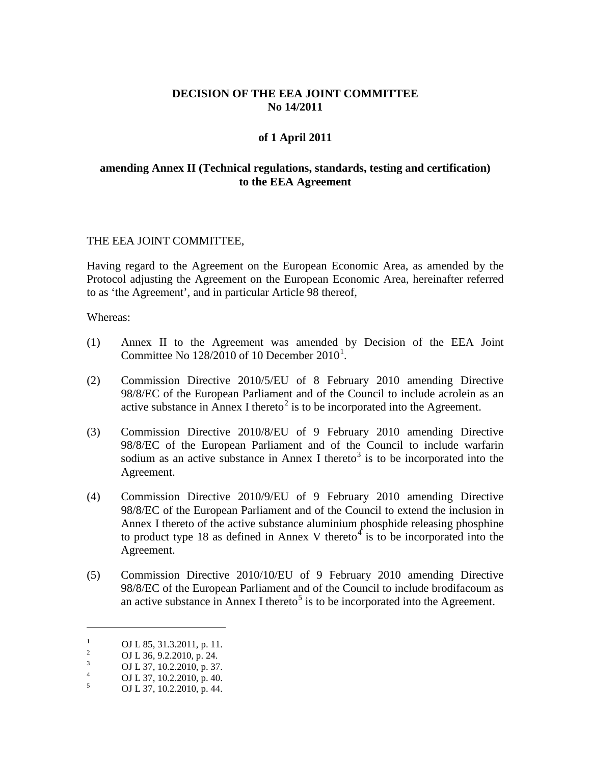# **DECISION OF THE EEA JOINT COMMITTEE No 14/2011**

## **of 1 April 2011**

## **amending Annex II (Technical regulations, standards, testing and certification) to the EEA Agreement**

### THE EEA JOINT COMMITTEE,

Having regard to the Agreement on the European Economic Area, as amended by the Protocol adjusting the Agreement on the European Economic Area, hereinafter referred to as 'the Agreement', and in particular Article 98 thereof,

Whereas:

- (1) Annex II to the Agreement was amended by Decision of the EEA Joint Committee No  $128/2010$  $128/2010$  of 10 December  $2010<sup>1</sup>$ .
- (2) Commission Directive 2010/5/EU of 8 February 2010 amending Directive 98/8/EC of the European Parliament and of the Council to include acrolein as an active substance in Annex I thereto<sup>[2](#page-0-1)</sup> is to be incorporated into the Agreement.
- (3) Commission Directive 2010/8/EU of 9 February 2010 amending Directive 98/8/EC of the European Parliament and of the Council to include warfarin sodium as an active substance in Annex I thereto<sup>[3](#page-0-2)</sup> is to be incorporated into the Agreement.
- (4) Commission Directive 2010/9/EU of 9 February 2010 amending Directive 98/8/EC of the European Parliament and of the Council to extend the inclusion in Annex I thereto of the active substance aluminium phosphide releasing phosphine to product type 18 as defined in Annex V thereto<sup>[4](#page-0-3)</sup> is to be incorporated into the Agreement.
- (5) Commission Directive 2010/10/EU of 9 February 2010 amending Directive 98/8/EC of the European Parliament and of the Council to include brodifacoum as an active substance in Annex I thereto<sup>[5](#page-0-4)</sup> is to be incorporated into the Agreement.

 $\overline{a}$ 

<span id="page-0-1"></span><span id="page-0-0"></span><sup>1</sup> OJ L 85, 31.3.2011, p. 11.<br>
2 OJ L 36, 9.2.2010, p. 24.<br>
3 OJ L 37, 10.2.2010, p. 37.<br>
5 OJ L 37, 10.2.2010, p. 44.

<span id="page-0-2"></span>

<span id="page-0-3"></span>

<span id="page-0-4"></span>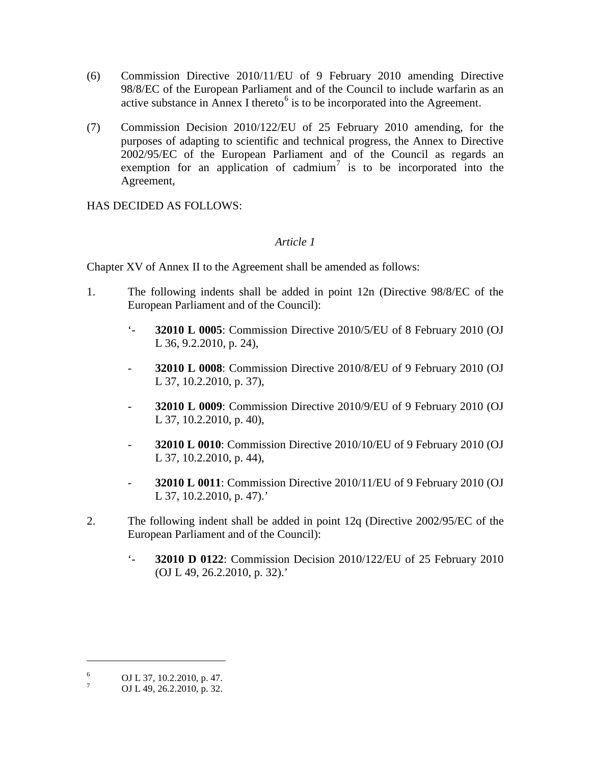- (6) Commission Directive 2010/11/EU of 9 February 2010 amending Directive 98/8/EC of the European Parliament and of the Council to include warfarin as an active substance in Annex I thereto<sup>[6](#page-0-3)</sup> is to be incorporated into the Agreement.
- (7) Commission Decision 2010/122/EU of 25 February 2010 amending, for the purposes of adapting to scientific and technical progress, the Annex to Directive 2002/95/EC of the European Parliament and of the Council as regards an exemption for an application of cadmium<sup>[7](#page-1-0)</sup> is to be incorporated into the Agreement,

HAS DECIDED AS FOLLOWS:

# *Article 1*

Chapter XV of Annex II to the Agreement shall be amended as follows:

- 1. The following indents shall be added in point 12n (Directive 98/8/EC of the European Parliament and of the Council):
	- '- **32010 L 0005**: Commission Directive 2010/5/EU of 8 February 2010 (OJ L 36, 9.2.2010, p. 24),
	- **32010 L 0008**: Commission Directive 2010/8/EU of 9 February 2010 (OJ L 37, 10.2.2010, p. 37),
	- **32010 L 0009**: Commission Directive 2010/9/EU of 9 February 2010 (OJ L 37, 10.2.2010, p. 40),
	- **32010 L 0010**: Commission Directive 2010/10/EU of 9 February 2010 (OJ L 37, 10.2.2010, p. 44),
	- **32010 L 0011**: Commission Directive 2010/11/EU of 9 February 2010 (OJ L 37, 10.2.2010, p. 47).'
- 2. The following indent shall be added in point 12q (Directive 2002/95/EC of the European Parliament and of the Council):
	- '- **32010 D 0122**: Commission Decision 2010/122/EU of 25 February 2010 (OJ L 49, 26.2.2010, p. 32).'

 $\overline{a}$ 

<span id="page-1-1"></span> $^{6}$  OJ L 37, 10.2.2010, p. 47.<br>
OJ L 49, 26.2.2010, p. 32.

<span id="page-1-0"></span>